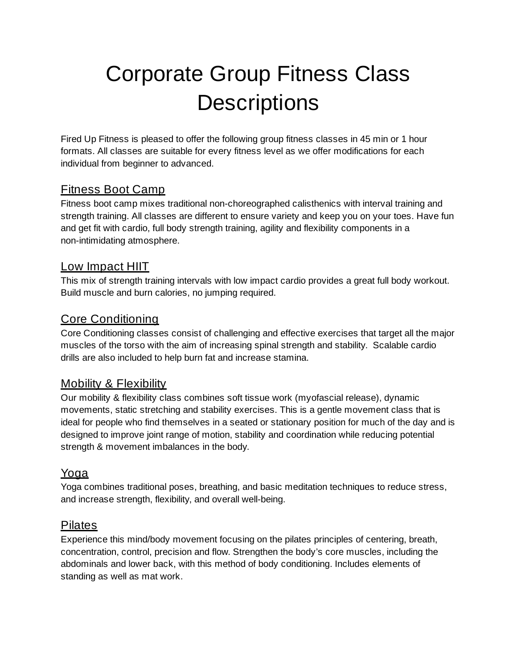# Corporate Group Fitness Class **Descriptions**

Fired Up Fitness is pleased to offer the following group fitness classes in 45 min or 1 hour formats. All classes are suitable for every fitness level as we offer modifications for each individual from beginner to advanced.

## Fitness Boot Camp

Fitness boot camp mixes traditional non-choreographed calisthenics with interval training and strength training. All classes are different to ensure variety and keep you on your toes. Have fun and get fit with cardio, full body strength training, agility and flexibility components in a non-intimidating atmosphere.

#### Low Impact HIIT

This mix of strength training intervals with low impact cardio provides a great full body workout. Build muscle and burn calories, no jumping required.

## Core Conditioning

Core Conditioning classes consist of challenging and effective exercises that target all the major muscles of the torso with the aim of increasing spinal strength and stability. Scalable cardio drills are also included to help burn fat and increase stamina.

## Mobility & Flexibility

Our mobility & flexibility class combines soft tissue work (myofascial release), dynamic movements, static stretching and stability exercises. This is a gentle movement class that is ideal for people who find themselves in a seated or stationary position for much of the day and is designed to improve joint range of motion, stability and coordination while reducing potential strength & movement imbalances in the body.

## Yoga

Yoga combines traditional poses, breathing, and basic meditation techniques to reduce stress, and increase strength, flexibility, and overall well-being.

## Pilates

Experience this mind/body movement focusing on the pilates principles of centering, breath, concentration, control, precision and flow. Strengthen the body's core muscles, including the abdominals and lower back, with this method of body conditioning. Includes elements of standing as well as mat work.